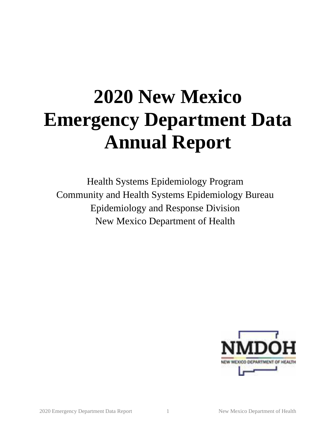# **2020 New Mexico Emergency Department Data Annual Report**

Health Systems Epidemiology Program Community and Health Systems Epidemiology Bureau Epidemiology and Response Division New Mexico Department of Health

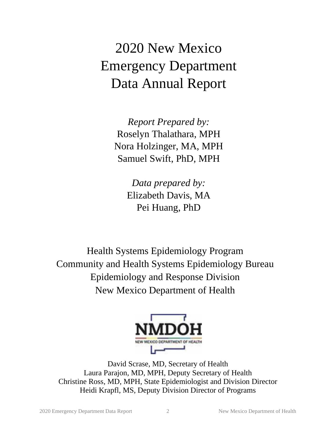## 2020 New Mexico Emergency Department Data Annual Report

*Report Prepared by:* Roselyn Thalathara, MPH Nora Holzinger, MA, MPH Samuel Swift, PhD, MPH

> *Data prepared by:* Elizabeth Davis, MA Pei Huang, PhD

Health Systems Epidemiology Program Community and Health Systems Epidemiology Bureau Epidemiology and Response Division New Mexico Department of Health



David Scrase, MD, Secretary of Health Laura Parajon, MD, MPH, Deputy Secretary of Health Christine Ross, MD, MPH, State Epidemiologist and Division Director Heidi Krapfl, MS, Deputy Division Director of Programs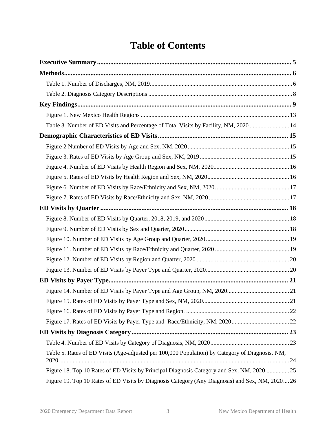### **Table of Contents**

| Table 3. Number of ED Visits and Percentage of Total Visits by Facility, NM, 2020  14           |  |
|-------------------------------------------------------------------------------------------------|--|
|                                                                                                 |  |
|                                                                                                 |  |
|                                                                                                 |  |
|                                                                                                 |  |
|                                                                                                 |  |
|                                                                                                 |  |
|                                                                                                 |  |
|                                                                                                 |  |
|                                                                                                 |  |
|                                                                                                 |  |
|                                                                                                 |  |
|                                                                                                 |  |
|                                                                                                 |  |
|                                                                                                 |  |
|                                                                                                 |  |
|                                                                                                 |  |
|                                                                                                 |  |
|                                                                                                 |  |
|                                                                                                 |  |
|                                                                                                 |  |
|                                                                                                 |  |
| Table 5. Rates of ED Visits (Age-adjusted per 100,000 Population) by Category of Diagnosis, NM, |  |
| Figure 18. Top 10 Rates of ED Visits by Principal Diagnosis Category and Sex, NM, 2020 25       |  |
| Figure 19. Top 10 Rates of ED Visits by Diagnosis Category (Any Diagnosis) and Sex, NM, 2020 26 |  |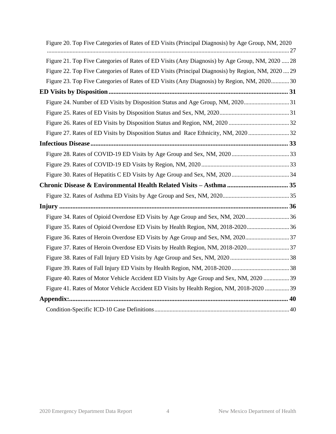| Figure 20. Top Five Categories of Rates of ED Visits (Principal Diagnosis) by Age Group, NM, 2020  |  |
|----------------------------------------------------------------------------------------------------|--|
| Figure 21. Top Five Categories of Rates of ED Visits (Any Diagnosis) by Age Group, NM, 2020  28    |  |
| Figure 22. Top Five Categories of Rates of ED Visits (Principal Diagnosis) by Region, NM, 2020  29 |  |
| Figure 23. Top Five Categories of Rates of ED Visits (Any Diagnosis) by Region, NM, 2020 30        |  |
|                                                                                                    |  |
| Figure 24. Number of ED Visits by Disposition Status and Age Group, NM, 202031                     |  |
|                                                                                                    |  |
|                                                                                                    |  |
|                                                                                                    |  |
|                                                                                                    |  |
|                                                                                                    |  |
|                                                                                                    |  |
|                                                                                                    |  |
|                                                                                                    |  |
|                                                                                                    |  |
| Injury                                                                                             |  |
| Figure 34. Rates of Opioid Overdose ED Visits by Age Group and Sex, NM, 202036                     |  |
| Figure 35. Rates of Opioid Overdose ED Visits by Health Region, NM, 2018-202036                    |  |
| Figure 36. Rates of Heroin Overdose ED Visits by Age Group and Sex, NM, 202037                     |  |
| Figure 37. Rates of Heroin Overdose ED Visits by Health Region, NM, 2018-202037                    |  |
|                                                                                                    |  |
|                                                                                                    |  |
| Figure 40. Rates of Motor Vehicle Accident ED Visits by Age Group and Sex, NM, 2020  39            |  |
| Figure 41. Rates of Motor Vehicle Accident ED Visits by Health Region, NM, 2018-2020  39           |  |
|                                                                                                    |  |
|                                                                                                    |  |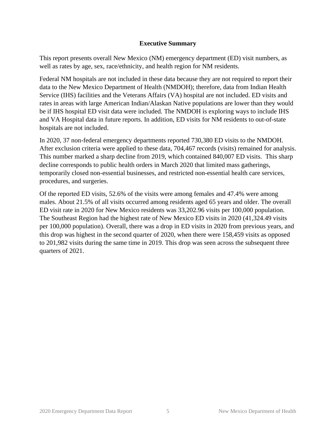#### **Executive Summary**

<span id="page-4-0"></span>This report presents overall New Mexico (NM) emergency department (ED) visit numbers, as well as rates by age, sex, race/ethnicity, and health region for NM residents.

Federal NM hospitals are not included in these data because they are not required to report their data to the New Mexico Department of Health (NMDOH); therefore, data from Indian Health Service (IHS) facilities and the Veterans Affairs (VA) hospital are not included. ED visits and rates in areas with large American Indian/Alaskan Native populations are lower than they would be if IHS hospital ED visit data were included. The NMDOH is exploring ways to include IHS and VA Hospital data in future reports. In addition, ED visits for NM residents to out-of-state hospitals are not included.

In 2020, 37 non-federal emergency departments reported 730,380 ED visits to the NMDOH. After exclusion criteria were applied to these data, 704,467 records (visits) remained for analysis. This number marked a sharp decline from 2019, which contained 840,007 ED visits. This sharp decline corresponds to public health orders in March 2020 that limited mass gatherings, temporarily closed non-essential businesses, and restricted non-essential health care services, procedures, and surgeries.

Of the reported ED visits, 52.6% of the visits were among females and 47.4% were among males. About 21.5% of all visits occurred among residents aged 65 years and older. The overall ED visit rate in 2020 for New Mexico residents was 33,202.96 visits per 100,000 population. The Southeast Region had the highest rate of New Mexico ED visits in 2020 (41,324.49 visits per 100,000 population). Overall, there was a drop in ED visits in 2020 from previous years, and this drop was highest in the second quarter of 2020, when there were 158,459 visits as opposed to 201,982 visits during the same time in 2019. This drop was seen across the subsequent three quarters of 2021.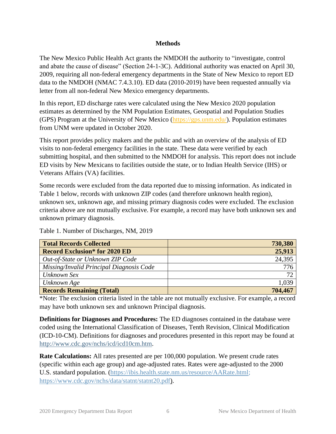#### **Methods**

<span id="page-5-0"></span>The New Mexico Public Health Act grants the NMDOH the authority to "investigate, control and abate the cause of disease" (Section 24-1-3C). Additional authority was enacted on April 30, 2009, requiring all non-federal emergency departments in the State of New Mexico to report ED data to the NMDOH (NMAC 7.4.3.10). ED data (2010-2019) have been requested annually via letter from all non-federal New Mexico emergency departments.

In this report, ED discharge rates were calculated using the New Mexico 2020 population estimates as determined by the NM Population Estimates, Geospatial and Population Studies (GPS) Program at the University of New Mexico [\(https://gps.unm.edu/\)](https://gps.unm.edu/). Population estimates from UNM were updated in October 2020.

This report provides policy makers and the public and with an overview of the analysis of ED visits to non-federal emergency facilities in the state. These data were verified by each submitting hospital, and then submitted to the NMDOH for analysis. This report does not include ED visits by New Mexicans to facilities outside the state, or to Indian Health Service (IHS) or Veterans Affairs (VA) facilities.

Some records were excluded from the data reported due to missing information. As indicated in Table 1 below, records with unknown ZIP codes (and therefore unknown health region), unknown sex, unknown age, and missing primary diagnosis codes were excluded. The exclusion criteria above are not mutually exclusive. For example, a record may have both unknown sex and unknown primary diagnosis.

<span id="page-5-1"></span>Table 1. Number of Discharges, NM, 2019

| <b>Total Records Collected</b>           | 730,380 |
|------------------------------------------|---------|
| <b>Record Exclusion*</b> for 2020 ED     | 25,913  |
| Out-of-State or Unknown ZIP Code         | 24,395  |
| Missing/Invalid Principal Diagnosis Code | 776     |
| Unknown Sex                              | 72      |
| Unknown Age                              | 1,039   |
| <b>Records Remaining (Total)</b>         | 704,467 |

\*Note: The exclusion criteria listed in the table are not mutually exclusive. For example, a record may have both unknown sex and unknown Principal diagnosis.

**Definitions for Diagnoses and Procedures:** The ED diagnoses contained in the database were coded using the International Classification of Diseases, Tenth Revision, Clinical Modification (ICD-10-CM). Definitions for diagnoses and procedures presented in this report may be found at [http://www.cdc.gov/nchs/icd/icd10cm.htm.](http://www.cdc.gov/nchs/icd/icd10cm.htm)

**Rate Calculations:** All rates presented are per 100,000 population. We present crude rates (specific within each age group) and age-adjusted rates. Rates were age-adjusted to the 2000 U.S. standard population. [\(https://ibis.health.state.nm.us/resource/AARate.html;](https://ibis.health.state.nm.us/resource/AARate.html) [https://www.cdc.gov/nchs/data/statnt/statnt20.pdf\)](https://www.cdc.gov/nchs/data/statnt/statnt20.pdf).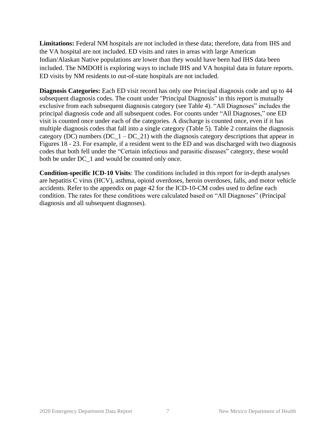**Limitations:** Federal NM hospitals are not included in these data; therefore, data from IHS and the VA hospital are not included. ED visits and rates in areas with large American Indian/Alaskan Native populations are lower than they would have been had IHS data been included. The NMDOH is exploring ways to include IHS and VA hospital data in future reports. ED visits by NM residents to out-of-state hospitals are not included.

**Diagnosis Categories:** Each ED visit record has only one Principal diagnosis code and up to 44 subsequent diagnosis codes. The count under "Principal Diagnosis" in this report is mutually exclusive from each subsequent diagnosis category (see Table 4). "All Diagnoses" includes the principal diagnosis code and all subsequent codes. For counts under "All Diagnoses," one ED visit is counted once under each of the categories. A discharge is counted once, even if it has multiple diagnosis codes that fall into a single category (Table 5). Table 2 contains the diagnosis category (DC) numbers  $(DC_1 - DC_2)$  with the diagnosis category descriptions that appear in Figures 18 - 23. For example, if a resident went to the ED and was discharged with two diagnosis codes that both fell under the "Certain infectious and parasitic diseases" category, these would both be under DC\_1 and would be counted only once.

**Condition-specific ICD-10 Visits**: The conditions included in this report for in-depth analyses are hepatitis C virus (HCV), asthma, opioid overdoses, heroin overdoses, falls, and motor vehicle accidents. Refer to the appendix on page 42 for the ICD-10-CM codes used to define each condition. The rates for these conditions were calculated based on "All Diagnoses" (Principal diagnosis and all subsequent diagnoses).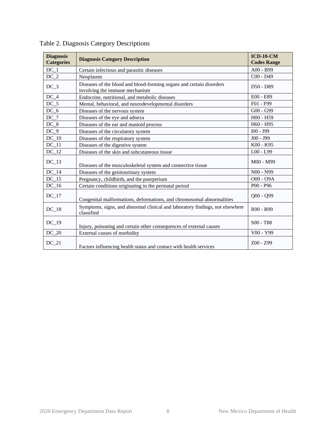| <b>Diagnosis</b><br><b>Categories</b> | <b>Diagnosis Category Description</b>                                                                  | $ICD-10-CM$<br><b>Codes Range</b> |
|---------------------------------------|--------------------------------------------------------------------------------------------------------|-----------------------------------|
| $DC_1$                                | Certain infectious and parasitic diseases                                                              | A00 - B99                         |
| $DC_2$                                | Neoplasms                                                                                              | $C00 - D49$                       |
| $DC_3$                                | Diseases of the blood and blood-forming organs and certain disorders<br>involving the immune mechanism | D50 - D89                         |
| $DC_4$                                | Endocrine, nutritional, and metabolic diseases                                                         | E00 - E89                         |
| $DC_5$                                | Mental, behavioral, and neurodevelopmental disorders                                                   | F01 - F99                         |
| $DC_6$                                | Diseases of the nervous system                                                                         | G00 - G99                         |
| $DC_7$                                | Diseases of the eye and adnexa                                                                         | H00 - H59                         |
| $DC_8$                                | Diseases of the ear and mastoid process                                                                | H60 - H95                         |
| $DC_9$                                | Diseases of the circulatory system                                                                     | $IO0 - I99$                       |
| $DC_10$                               | Diseases of the respiratory system                                                                     | $J00 - J99$                       |
| $DC_11$                               | Diseases of the digestive system                                                                       | K00 - K95                         |
| $DC_12$                               | Diseases of the skin and subcutaneous tissue                                                           | L00 - L99                         |
| $DC_13$                               | Diseases of the musculoskeletal system and connective tissue                                           | M00 - M99                         |
| $DC_14$                               | Diseases of the genitourinary system                                                                   | N00 - N99                         |
| $DC_15$                               | Pregnancy, childbirth, and the puerperium                                                              | $OOO - O9A$                       |
| $DC_16$                               | Certain conditions originating in the perinatal period                                                 | $P00 - P96$                       |
| $DC_1$ 7                              | Congenital malformations, deformations, and chromosomal abnormalities                                  | $Q00 - Q99$                       |
| $DC_18$                               | Symptoms, signs, and abnormal clinical and laboratory findings, not elsewhere<br>classified            | $R00 - R99$                       |
| $DC_19$                               | Injury, poisoning and certain other consequences of external causes                                    | $S00 - T88$                       |
| $DC_20$                               | External causes of morbidity                                                                           | V00 - Y99                         |
| $DC_21$                               | Factors influencing health status and contact with health services                                     | $Z00 - Z99$                       |

<span id="page-7-0"></span>Table 2. Diagnosis Category Descriptions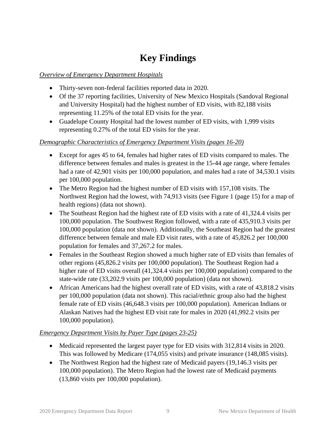### **Key Findings**

### <span id="page-8-0"></span>*Overview of Emergency Department Hospitals*

- Thirty-seven non-federal facilities reported data in 2020.
- Of the 37 reporting facilities, University of New Mexico Hospitals (Sandoval Regional and University Hospital) had the highest number of ED visits, with 82,188 visits representing 11.25% of the total ED visits for the year.
- Guadelupe County Hospital had the lowest number of ED visits, with 1,999 visits representing 0.27% of the total ED visits for the year.

### *Demographic Characteristics of Emergency Department Visits (pages 16-20)*

- Except for ages 45 to 64, females had higher rates of ED visits compared to males. The difference between females and males is greatest in the 15-44 age range, where females had a rate of 42,901 visits per 100,000 population, and males had a rate of 34,530.1 visits per 100,000 population.
- The Metro Region had the highest number of ED visits with 157,108 visits. The Northwest Region had the lowest, with 74,913 visits (see Figure 1 (page 15) for a map of health regions) (data not shown).
- The Southeast Region had the highest rate of ED visits with a rate of 41,324.4 visits per 100,000 population. The Southwest Region followed, with a rate of 435,910.3 visits per 100,000 population (data not shown). Additionally, the Southeast Region had the greatest difference between female and male ED visit rates, with a rate of 45,826.2 per 100,000 population for females and 37,267.2 for males.
- Females in the Southeast Region showed a much higher rate of ED visits than females of other regions (45,826.2 visits per 100,000 population). The Southeast Region had a higher rate of ED visits overall (41,324.4 visits per 100,000 population) compared to the state-wide rate (33,202.9 visits per 100,000 population) (data not shown).
- African Americans had the highest overall rate of ED visits, with a rate of 43,818.2 visits per 100,000 population (data not shown). This racial/ethnic group also had the highest female rate of ED visits (46,648.3 visits per 100,000 population). American Indians or Alaskan Natives had the highest ED visit rate for males in 2020 (41,992.2 visits per 100,000 population).

### *Emergency Department Visits by Payer Type (pages 23-25)*

- Medicaid represented the largest payer type for ED visits with 312,814 visits in 2020. This was followed by Medicare (174,055 visits) and private insurance (148,085 visits).
- The Northwest Region had the highest rate of Medicaid payers (19,146.3 visits per 100,000 population). The Metro Region had the lowest rate of Medicaid payments (13,860 visits per 100,000 population).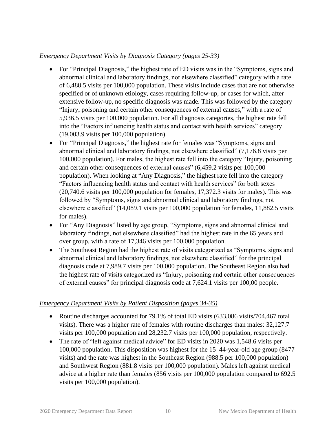### *Emergency Department Visits by Diagnosis Category (pages 25-33)*

- For "Principal Diagnosis," the highest rate of ED visits was in the "Symptoms, signs and abnormal clinical and laboratory findings, not elsewhere classified" category with a rate of 6,488.5 visits per 100,000 population. These visits include cases that are not otherwise specified or of unknown etiology, cases requiring follow-up, or cases for which, after extensive follow-up, no specific diagnosis was made. This was followed by the category "Injury, poisoning and certain other consequences of external causes," with a rate of 5,936.5 visits per 100,000 population. For all diagnosis categories, the highest rate fell into the "Factors influencing health status and contact with health services" category (19,003.9 visits per 100,000 population).
- For "Principal Diagnosis," the highest rate for females was "Symptoms, signs and abnormal clinical and laboratory findings, not elsewhere classified" (7,176.8 visits per 100,000 population). For males, the highest rate fell into the category "Injury, poisoning and certain other consequences of external causes" (6,459.2 visits per 100,000 population). When looking at "Any Diagnosis," the highest rate fell into the category "Factors influencing health status and contact with health services" for both sexes (20,740.6 visits per 100,000 population for females, 17,372.3 visits for males). This was followed by "Symptoms, signs and abnormal clinical and laboratory findings, not elsewhere classified" (14,089.1 visits per 100,000 population for females, 11,882.5 visits for males).
- For "Any Diagnosis" listed by age group, "Symptoms, signs and abnormal clinical and laboratory findings, not elsewhere classified" had the highest rate in the 65 years and over group, with a rate of 17,346 visits per 100,000 population.
- The Southeast Region had the highest rate of visits categorized as "Symptoms, signs and abnormal clinical and laboratory findings, not elsewhere classified" for the principal diagnosis code at 7,989.7 visits per 100,000 population. The Southeast Region also had the highest rate of visits categorized as "Injury, poisoning and certain other consequences of external causes" for principal diagnosis code at 7,624.1 visits per 100,00 people.

#### *Emergency Department Visits by Patient Disposition (pages 34-35)*

- Routine discharges accounted for 79.1% of total ED visits (633,086 visits/704,467 total visits). There was a higher rate of females with routine discharges than males: 32,127.7 visits per 100,000 population and 28,232.7 visits per 100,000 population, respectively.
- The rate of "left against medical advice" for ED visits in 2020 was 1,548.6 visits per 100,000 population. This disposition was highest for the 15–44-year-old age group (8477 visits) and the rate was highest in the Southeast Region (988.5 per 100,000 population) and Southwest Region (881.8 visits per 100,000 population). Males left against medical advice at a higher rate than females (856 visits per 100,000 population compared to 692.5 visits per 100,000 population).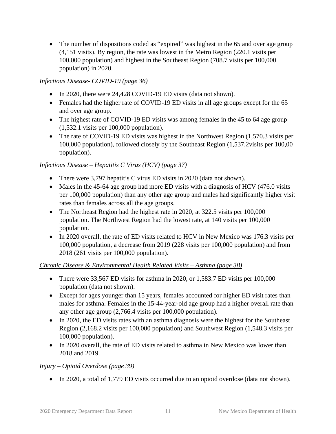• The number of dispositions coded as "expired" was highest in the 65 and over age group (4,151 visits). By region, the rate was lowest in the Metro Region (220.1 visits per 100,000 population) and highest in the Southeast Region (708.7 visits per 100,000 population) in 2020.

### *Infectious Disease- COVID-19 (page 36)*

- In 2020, there were 24,428 COVID-19 ED visits (data not shown).
- Females had the higher rate of COVID-19 ED visits in all age groups except for the 65 and over age group.
- The highest rate of COVID-19 ED visits was among females in the 45 to 64 age group (1,532.1 visits per 100,000 population).
- The rate of COVID-19 ED visits was highest in the Northwest Region (1,570.3 visits per 100,000 population), followed closely by the Southeast Region (1,537.2visits per 100,00 population).

### *Infectious Disease – Hepatitis C Virus (HCV) (page 37)*

- There were 3,797 hepatitis C virus ED visits in 2020 (data not shown).
- Males in the 45-64 age group had more ED visits with a diagnosis of HCV (476.0 visits per 100,000 population) than any other age group and males had significantly higher visit rates than females across all the age groups.
- The Northeast Region had the highest rate in 2020, at 322.5 visits per 100,000 population. The Northwest Region had the lowest rate, at 140 visits per 100,000 population.
- In 2020 overall, the rate of ED visits related to HCV in New Mexico was 176.3 visits per 100,000 population, a decrease from 2019 (228 visits per 100,000 population) and from 2018 (261 visits per 100,000 population).

#### *Chronic Disease & Environmental Health Related Visits – Asthma (page 38)*

- There were 33,567 ED visits for asthma in 2020, or 1,583.7 ED visits per 100,000 population (data not shown).
- Except for ages younger than 15 years, females accounted for higher ED visit rates than males for asthma. Females in the 15-44-year-old age group had a higher overall rate than any other age group (2,766.4 visits per 100,000 population).
- In 2020, the ED visits rates with an asthma diagnosis were the highest for the Southeast Region (2,168.2 visits per 100,000 population) and Southwest Region (1,548.3 visits per 100,000 population).
- In 2020 overall, the rate of ED visits related to asthma in New Mexico was lower than 2018 and 2019.

#### *Injury – Opioid Overdose (page 39)*

• In 2020, a total of 1,779 ED visits occurred due to an opioid overdose (data not shown).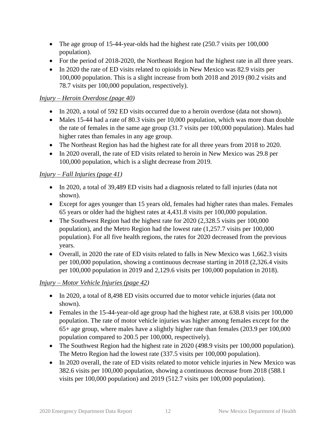- The age group of 15-44-year-olds had the highest rate (250.7 visits per 100,000 population).
- For the period of 2018-2020, the Northeast Region had the highest rate in all three years.
- In 2020 the rate of ED visits related to opioids in New Mexico was 82.9 visits per 100,000 population. This is a slight increase from both 2018 and 2019 (80.2 visits and 78.7 visits per 100,000 population, respectively).

### *Injury – Heroin Overdose (page 40)*

- In 2020, a total of 592 ED visits occurred due to a heroin overdose (data not shown).
- Males 15-44 had a rate of 80.3 visits per 10,000 population, which was more than double the rate of females in the same age group (31.7 visits per 100,000 population). Males had higher rates than females in any age group.
- The Northeast Region has had the highest rate for all three years from 2018 to 2020.
- In 2020 overall, the rate of ED visits related to heroin in New Mexico was 29.8 per 100,000 population, which is a slight decrease from 2019.

### *Injury – Fall Injuries (page 41)*

- In 2020, a total of 39,489 ED visits had a diagnosis related to fall injuries (data not shown).
- Except for ages younger than 15 years old, females had higher rates than males. Females 65 years or older had the highest rates at 4,431.8 visits per 100,000 population.
- The Southwest Region had the highest rate for 2020 (2,328.5 visits per 100,000 population), and the Metro Region had the lowest rate (1,257.7 visits per 100,000 population). For all five health regions, the rates for 2020 decreased from the previous years.
- Overall, in 2020 the rate of ED visits related to falls in New Mexico was 1,662.3 visits per 100,000 population, showing a continuous decrease starting in 2018 (2,326.4 visits per 100,000 population in 2019 and 2,129.6 visits per 100,000 population in 2018).

### *Injury – Motor Vehicle Injuries (page 42)*

- In 2020, a total of 8,498 ED visits occurred due to motor vehicle injuries (data not shown).
- Females in the 15-44-year-old age group had the highest rate, at 638.8 visits per 100,000 population. The rate of motor vehicle injuries was higher among females except for the 65+ age group, where males have a slightly higher rate than females (203.9 per 100,000 population compared to 200.5 per 100,000, respectively).
- The Southwest Region had the highest rate in 2020 (498.9 visits per 100,000 population). The Metro Region had the lowest rate (337.5 visits per 100,000 population).
- In 2020 overall, the rate of ED visits related to motor vehicle injuries in New Mexico was 382.6 visits per 100,000 population, showing a continuous decrease from 2018 (588.1 visits per 100,000 population) and 2019 (512.7 visits per 100,000 population).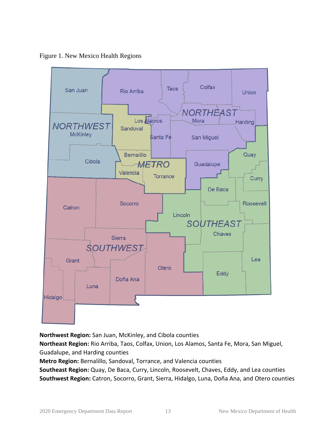<span id="page-12-0"></span>Figure 1. New Mexico Health Regions



**Northwest Region:** San Juan, McKinley, and Cibola counties

**Northeast Region:** Rio Arriba, Taos, Colfax, Union, Los Alamos, Santa Fe, Mora, San Miguel, Guadalupe, and Harding counties

**Metro Region:** Bernalillo, Sandoval, Torrance, and Valencia counties

**Southeast Region:** Quay, De Baca, Curry, Lincoln, Roosevelt, Chaves, Eddy, and Lea counties **Southwest Region:** Catron, Socorro, Grant, Sierra, Hidalgo, Luna, Doña Ana, and Otero counties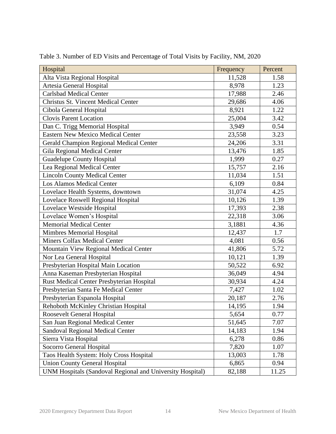| Hospital                                                  | Frequency | Percent |
|-----------------------------------------------------------|-----------|---------|
| Alta Vista Regional Hospital                              | 11,528    | 1.58    |
| Artesia General Hospital                                  | 8,978     | 1.23    |
| <b>Carlsbad Medical Center</b>                            | 17,988    | 2.46    |
| <b>Christus St. Vincent Medical Center</b>                | 29,686    | 4.06    |
| Cibola General Hospital                                   | 8,921     | 1.22    |
| <b>Clovis Parent Location</b>                             | 25,004    | 3.42    |
| Dan C. Trigg Memorial Hospital                            | 3,949     | 0.54    |
| <b>Eastern New Mexico Medical Center</b>                  | 23,558    | 3.23    |
| Gerald Champion Regional Medical Center                   | 24,206    | 3.31    |
| Gila Regional Medical Center                              | 13,476    | 1.85    |
| <b>Guadelupe County Hospital</b>                          | 1,999     | 0.27    |
| Lea Regional Medical Center                               | 15,757    | 2.16    |
| <b>Lincoln County Medical Center</b>                      | 11,034    | 1.51    |
| <b>Los Alamos Medical Center</b>                          | 6,109     | 0.84    |
| Lovelace Health Systems, downtown                         | 31,074    | 4.25    |
| Lovelace Roswell Regional Hospital                        | 10,126    | 1.39    |
| Lovelace Westside Hospital                                | 17,393    | 2.38    |
| Lovelace Women's Hospital                                 | 22,318    | 3.06    |
| <b>Memorial Medical Center</b>                            | 3,1881    | 4.36    |
| Mimbres Memorial Hospital                                 | 12,437    | 1.7     |
| <b>Miners Colfax Medical Center</b>                       | 4,081     | 0.56    |
| Mountain View Regional Medical Center                     | 41,806    | 5.72    |
| Nor Lea General Hospital                                  | 10,121    | 1.39    |
| Presbyterian Hospital Main Location                       | 50,522    | 6.92    |
| Anna Kaseman Presbyterian Hospital                        | 36,049    | 4.94    |
| Rust Medical Center Presbyterian Hospital                 | 30,934    | 4.24    |
| Presbyterian Santa Fe Medical Center                      | 7,427     | 1.02    |
| Presbyterian Espanola Hospital                            | 20,187    | 2.76    |
| Rehoboth McKinley Christian Hospital                      | 14,195    | 1.94    |
| Roosevelt General Hospital                                | 5,654     | 0.77    |
| San Juan Regional Medical Center                          | 51,645    | 7.07    |
| <b>Sandoval Regional Medical Center</b>                   | 14,183    | 1.94    |
| Sierra Vista Hospital                                     | 6,278     | 0.86    |
| Socorro General Hospital                                  | 7,820     | 1.07    |
| Taos Health System: Holy Cross Hospital                   | 13,003    | 1.78    |
| <b>Union County General Hospital</b>                      | 6,865     | 0.94    |
| UNM Hospitals (Sandoval Regional and University Hospital) | 82,188    | 11.25   |

<span id="page-13-0"></span>Table 3. Number of ED Visits and Percentage of Total Visits by Facility, NM, 2020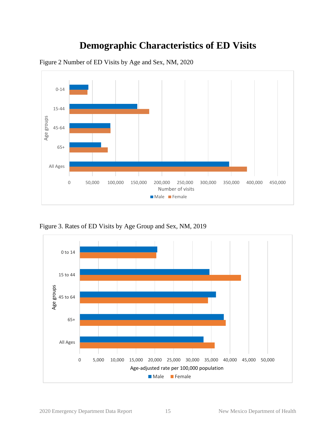### **Demographic Characteristics of ED Visits**



<span id="page-14-1"></span><span id="page-14-0"></span>Figure 2 Number of ED Visits by Age and Sex, NM, 2020

<span id="page-14-2"></span>Figure 3. Rates of ED Visits by Age Group and Sex, NM, 2019

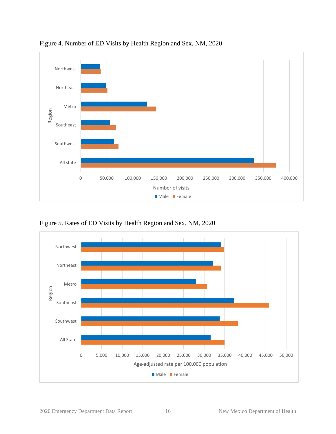

<span id="page-15-0"></span>Figure 4. Number of ED Visits by Health Region and Sex, NM, 2020

<span id="page-15-1"></span>Figure 5. Rates of ED Visits by Health Region and Sex, NM, 2020

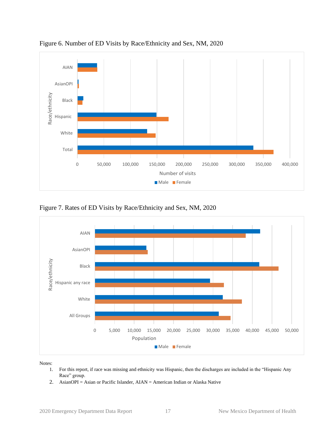

<span id="page-16-0"></span>Figure 6. Number of ED Visits by Race/Ethnicity and Sex, NM, 2020

<span id="page-16-1"></span>Figure 7. Rates of ED Visits by Race/Ethnicity and Sex, NM, 2020



Notes:

- 1. For this report, if race was missing and ethnicity was Hispanic, then the discharges are included in the "Hispanic Any Race" group.
- 2. AsianOPI = Asian or Pacific Islander, AIAN = American Indian or Alaska Native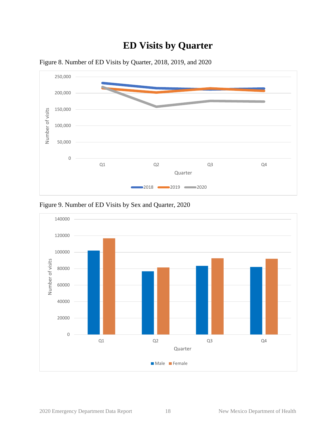### **ED Visits by Quarter**



<span id="page-17-1"></span><span id="page-17-0"></span>Figure 8. Number of ED Visits by Quarter, 2018, 2019, and 2020

<span id="page-17-2"></span>Figure 9. Number of ED Visits by Sex and Quarter, 2020

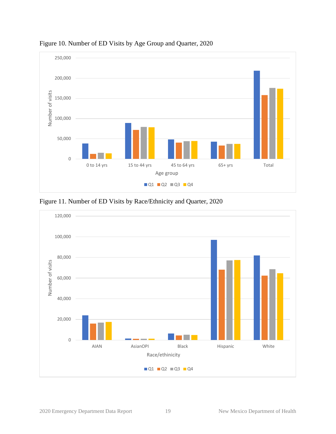

<span id="page-18-0"></span>Figure 10. Number of ED Visits by Age Group and Quarter, 2020

<span id="page-18-1"></span>Figure 11. Number of ED Visits by Race/Ethnicity and Quarter, 2020

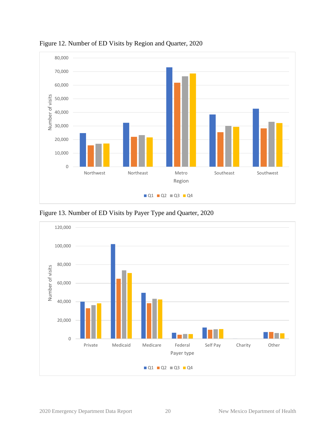

<span id="page-19-0"></span>Figure 12. Number of ED Visits by Region and Quarter, 2020

<span id="page-19-1"></span>Figure 13. Number of ED Visits by Payer Type and Quarter, 2020

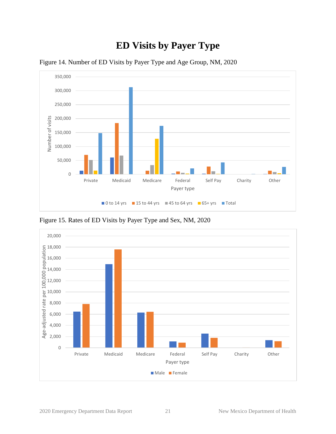### **ED Visits by Payer Type**



<span id="page-20-1"></span><span id="page-20-0"></span>Figure 14. Number of ED Visits by Payer Type and Age Group, NM, 2020

<span id="page-20-2"></span>Figure 15. Rates of ED Visits by Payer Type and Sex, NM, 2020

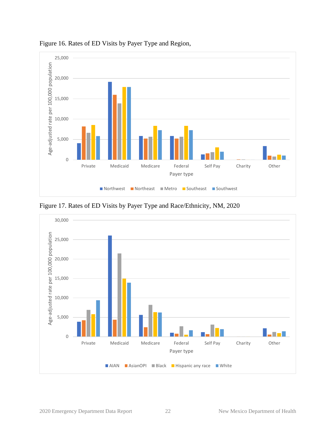

### <span id="page-21-0"></span>Figure 16. Rates of ED Visits by Payer Type and Region,

<span id="page-21-1"></span>Figure 17. Rates of ED Visits by Payer Type and Race/Ethnicity, NM, 2020

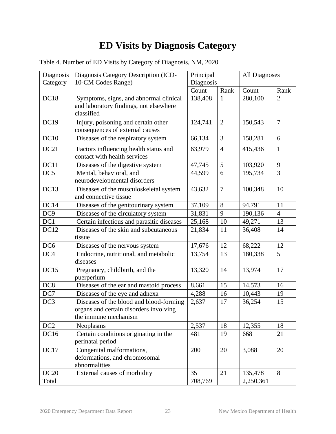### **ED Visits by Diagnosis Category**

| Diagnosis       | Diagnosis Category Description (ICD-                                                                      | Principal |                | <b>All Diagnoses</b> |                |
|-----------------|-----------------------------------------------------------------------------------------------------------|-----------|----------------|----------------------|----------------|
| Category        | 10-CM Codes Range)                                                                                        | Diagnosis |                |                      |                |
|                 |                                                                                                           | Count     | Rank           | Count                | Rank           |
| DC18            | Symptoms, signs, and abnormal clinical<br>and laboratory findings, not elsewhere<br>classified            | 138,408   | 1              | 280,100              | $\overline{2}$ |
| <b>DC19</b>     | Injury, poisoning and certain other<br>consequences of external causes                                    | 124,741   | $\overline{2}$ | 150,543              | $\overline{7}$ |
| DC10            | Diseases of the respiratory system                                                                        | 66,134    | $\overline{3}$ | 158,281              | 6              |
| DC21            | Factors influencing health status and<br>contact with health services                                     | 63,979    | $\overline{4}$ | 415,436              | $\mathbf{1}$   |
| DC11            | Diseases of the digestive system                                                                          | 47,745    | 5              | 103,920              | 9              |
| DC5             | Mental, behavioral, and<br>neurodevelopmental disorders                                                   | 44,599    | 6              | 195,734              | 3              |
| DC13            | Diseases of the musculoskeletal system<br>and connective tissue                                           | 43,632    | $\overline{7}$ | 100,348              | 10             |
| DC14            | Diseases of the genitourinary system                                                                      | 37,109    | 8              | 94,791               | 11             |
| DC <sub>9</sub> | Diseases of the circulatory system                                                                        | 31,831    | 9              | 190,136              | $\overline{4}$ |
| DC1             | Certain infectious and parasitic diseases                                                                 | 25,168    | 10             | 49,271               | 13             |
| <b>DC12</b>     | Diseases of the skin and subcutaneous<br>tissue                                                           | 21,834    | 11             | 36,408               | 14             |
| DC <sub>6</sub> | Diseases of the nervous system                                                                            | 17,676    | 12             | 68,222               | 12             |
| DC <sub>4</sub> | Endocrine, nutritional, and metabolic<br>diseases                                                         | 13,754    | 13             | 180,338              | 5              |
| <b>DC15</b>     | Pregnancy, childbirth, and the<br>puerperium                                                              | 13,320    | 14             | 13,974               | 17             |
| DC <sub>8</sub> | Diseases of the ear and mastoid process                                                                   | 8,661     | 15             | 14,573               | 16             |
| DC7             | Diseases of the eye and adnexa                                                                            | 4,288     | 16             | 10,443               | 19             |
| DC <sub>3</sub> | Diseases of the blood and blood-forming<br>organs and certain disorders involving<br>the immune mechanism | 2,637     | 17             | 36,254               | 15             |
| DC <sub>2</sub> | Neoplasms                                                                                                 | 2,537     | 18             | 12,355               | 18             |
| <b>DC16</b>     | Certain conditions originating in the<br>perinatal period                                                 | 481       | 19             | 668                  | 21             |
| DC17            | Congenital malformations,<br>deformations, and chromosomal<br>abnormalities                               | 200       | 20             | 3,088                | 20             |
| <b>DC20</b>     | External causes of morbidity                                                                              | 35        | 21             | 135,478              | 8              |
| Total           |                                                                                                           | 708,769   |                | 2,250,361            |                |

<span id="page-22-1"></span><span id="page-22-0"></span>Table 4. Number of ED Visits by Category of Diagnosis, NM, 2020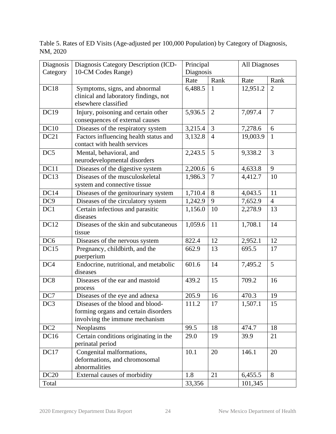<span id="page-23-0"></span>Table 5. Rates of ED Visits (Age-adjusted per 100,000 Population) by Category of Diagnosis, NM, 2020

| Diagnosis<br>Category | Diagnosis Category Description (ICD-<br>10-CM Codes Range)                                                 | Principal<br>Diagnosis |                | <b>All Diagnoses</b> |                |
|-----------------------|------------------------------------------------------------------------------------------------------------|------------------------|----------------|----------------------|----------------|
|                       |                                                                                                            | Rate                   | Rank           | Rate                 | Rank           |
| DC18                  | Symptoms, signs, and abnormal<br>clinical and laboratory findings, not<br>elsewhere classified             | 6,488.5                | $\mathbf{1}$   | 12,951.2             | $\overline{2}$ |
| <b>DC19</b>           | Injury, poisoning and certain other<br>consequences of external causes                                     | 5,936.5                | $\overline{2}$ | 7,097.4              | $\overline{7}$ |
| DC10                  | Diseases of the respiratory system                                                                         | 3,215.4                | 3              | 7,278.6              | 6              |
| DC21                  | Factors influencing health status and<br>contact with health services                                      | 3,132.8                | $\overline{4}$ | 19,003.9             | $\mathbf{1}$   |
| DC5                   | Mental, behavioral, and<br>neurodevelopmental disorders                                                    | 2,243.5                | 5              | 9,338.2              | $\overline{3}$ |
| DC11                  | Diseases of the digestive system                                                                           | 2,200.6                | 6              | 4,633.8              | 9              |
| DC13                  | Diseases of the musculoskeletal<br>system and connective tissue                                            | 1,986.3                | $\overline{7}$ | 4,412.7              | 10             |
| DC14                  | Diseases of the genitourinary system                                                                       | 1,710.4                | 8              | 4,043.5              | 11             |
| DC <sub>9</sub>       | Diseases of the circulatory system                                                                         | 1,242.9                | 9              | 7,652.9              | $\overline{4}$ |
| DC1                   | Certain infectious and parasitic<br>diseases                                                               | 1,156.0                | 10             | 2,278.9              | 13             |
| <b>DC12</b>           | Diseases of the skin and subcutaneous<br>tissue                                                            | 1,059.6                | 11             | 1,708.1              | 14             |
| DC <sub>6</sub>       | Diseases of the nervous system                                                                             | 822.4                  | 12             | 2,952.1              | 12             |
| DC15                  | Pregnancy, childbirth, and the<br>puerperium                                                               | 662.9                  | 13             | 695.5                | 17             |
| DC4                   | Endocrine, nutritional, and metabolic<br>diseases                                                          | 601.6                  | 14             | 7,495.2              | 5              |
| DC <sub>8</sub>       | Diseases of the ear and mastoid<br>process                                                                 | 439.2                  | 15             | 709.2                | 16             |
| DC7                   | Diseases of the eye and adnexa                                                                             | 205.9                  | 16             | 470.3                | 19             |
| DC3                   | Diseases of the blood and blood-<br>forming organs and certain disorders<br>involving the immune mechanism | 111.2                  | 17             | 1,507.1              | 15             |
| DC <sub>2</sub>       | Neoplasms                                                                                                  | 99.5                   | 18             | 474.7                | 18             |
| <b>DC16</b>           | Certain conditions originating in the<br>perinatal period                                                  | 29.0                   | 19             | 39.9                 | 21             |
| DC17                  | Congenital malformations,<br>deformations, and chromosomal<br>abnormalities                                | 10.1                   | 20             | 146.1                | 20             |
| <b>DC20</b>           | External causes of morbidity                                                                               | 1.8                    | 21             | 6,455.5              | 8              |
| Total                 |                                                                                                            | 33,356                 |                | 101,345              |                |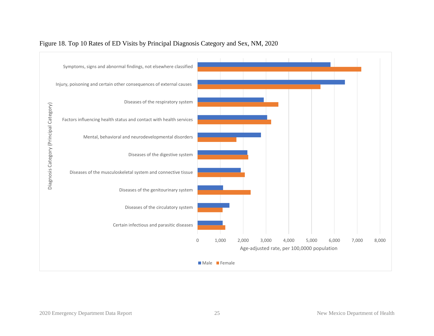<span id="page-24-0"></span>

#### Figure 18. Top 10 Rates of ED Visits by Principal Diagnosis Category and Sex, NM, 2020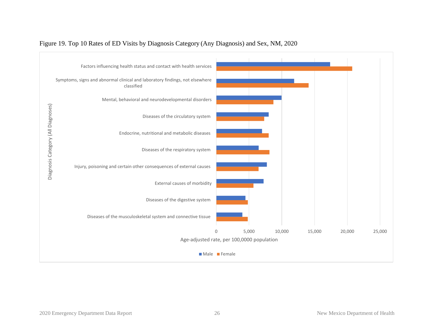<span id="page-25-0"></span>

#### Figure 19. Top 10 Rates of ED Visits by Diagnosis Category (Any Diagnosis) and Sex, NM, 2020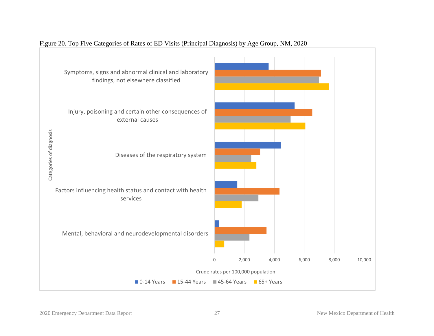<span id="page-26-0"></span>

#### Figure 20. Top Five Categories of Rates of ED Visits (Principal Diagnosis) by Age Group, NM, 2020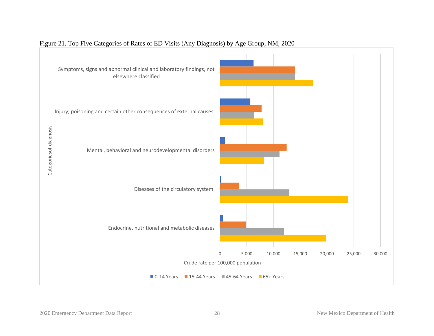<span id="page-27-0"></span>

#### Figure 21. Top Five Categories of Rates of ED Visits (Any Diagnosis) by Age Group, NM, 2020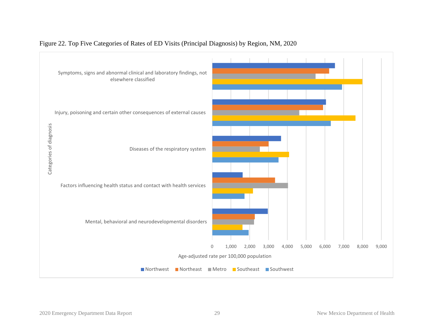<span id="page-28-0"></span>

#### Figure 22. Top Five Categories of Rates of ED Visits (Principal Diagnosis) by Region, NM, 2020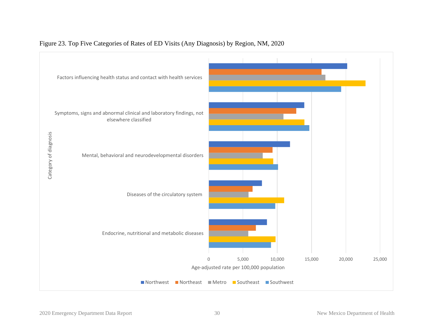<span id="page-29-0"></span>

#### Figure 23. Top Five Categories of Rates of ED Visits (Any Diagnosis) by Region, NM, 2020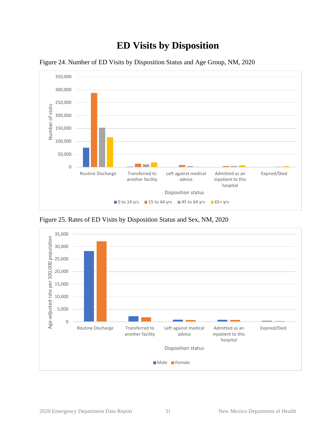### **ED Visits by Disposition**



<span id="page-30-1"></span><span id="page-30-0"></span>Figure 24. Number of ED Visits by Disposition Status and Age Group, NM, 2020

<span id="page-30-2"></span>Figure 25. Rates of ED Visits by Disposition Status and Sex, NM, 2020

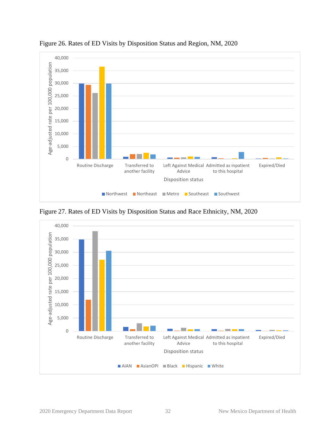

<span id="page-31-0"></span>Figure 26. Rates of ED Visits by Disposition Status and Region, NM, 2020

<span id="page-31-1"></span>Figure 27. Rates of ED Visits by Disposition Status and Race Ethnicity, NM, 2020

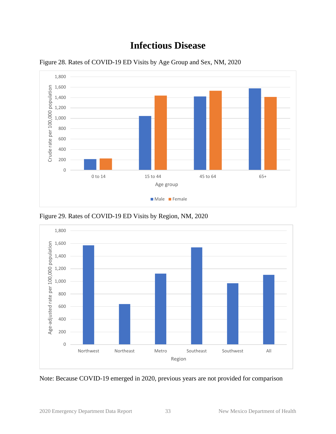### **Infectious Disease**



<span id="page-32-1"></span><span id="page-32-0"></span>Figure 28. Rates of COVID-19 ED Visits by Age Group and Sex, NM, 2020

<span id="page-32-2"></span>



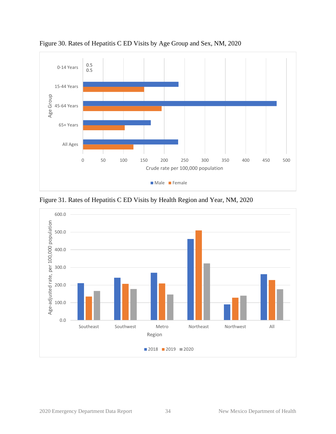

<span id="page-33-0"></span>Figure 30. Rates of Hepatitis C ED Visits by Age Group and Sex, NM, 2020

Figure 31. Rates of Hepatitis C ED Visits by Health Region and Year, NM, 2020

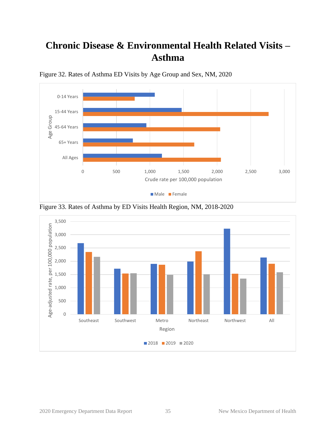### <span id="page-34-0"></span>**Chronic Disease & Environmental Health Related Visits – Asthma**



<span id="page-34-1"></span>Figure 32. Rates of Asthma ED Visits by Age Group and Sex, NM, 2020



Figure 33. Rates of Asthma by ED Visits Health Region, NM, 2018-2020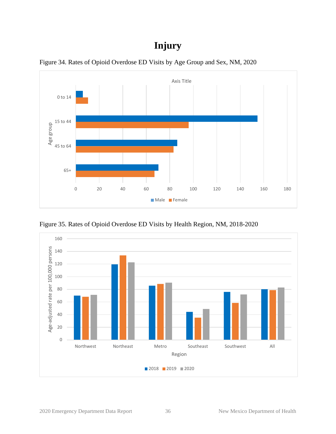### **Injury**



<span id="page-35-1"></span><span id="page-35-0"></span>Figure 34. Rates of Opioid Overdose ED Visits by Age Group and Sex, NM, 2020

<span id="page-35-2"></span>Figure 35. Rates of Opioid Overdose ED Visits by Health Region, NM, 2018-2020

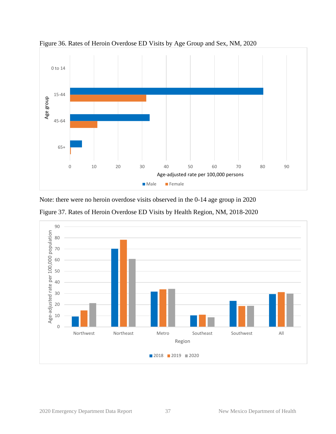

<span id="page-36-0"></span>Figure 36. Rates of Heroin Overdose ED Visits by Age Group and Sex, NM, 2020

Note: there were no heroin overdose visits observed in the 0-14 age group in 2020

<span id="page-36-1"></span>

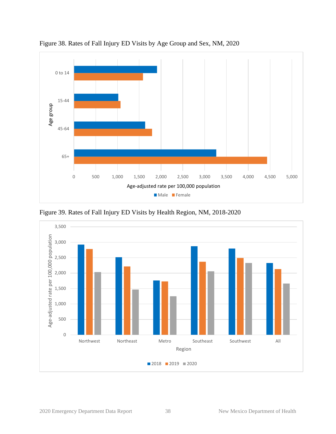

<span id="page-37-0"></span>Figure 38. Rates of Fall Injury ED Visits by Age Group and Sex, NM, 2020

<span id="page-37-1"></span>Figure 39. Rates of Fall Injury ED Visits by Health Region, NM, 2018-2020

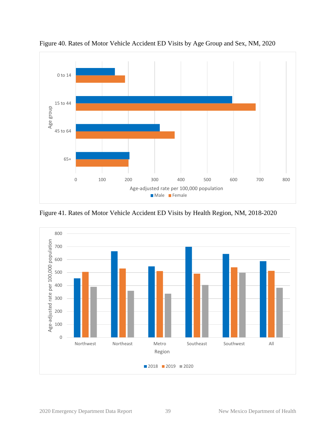

<span id="page-38-0"></span>Figure 40. Rates of Motor Vehicle Accident ED Visits by Age Group and Sex, NM, 2020

<span id="page-38-1"></span>Figure 41. Rates of Motor Vehicle Accident ED Visits by Health Region, NM, 2018-2020